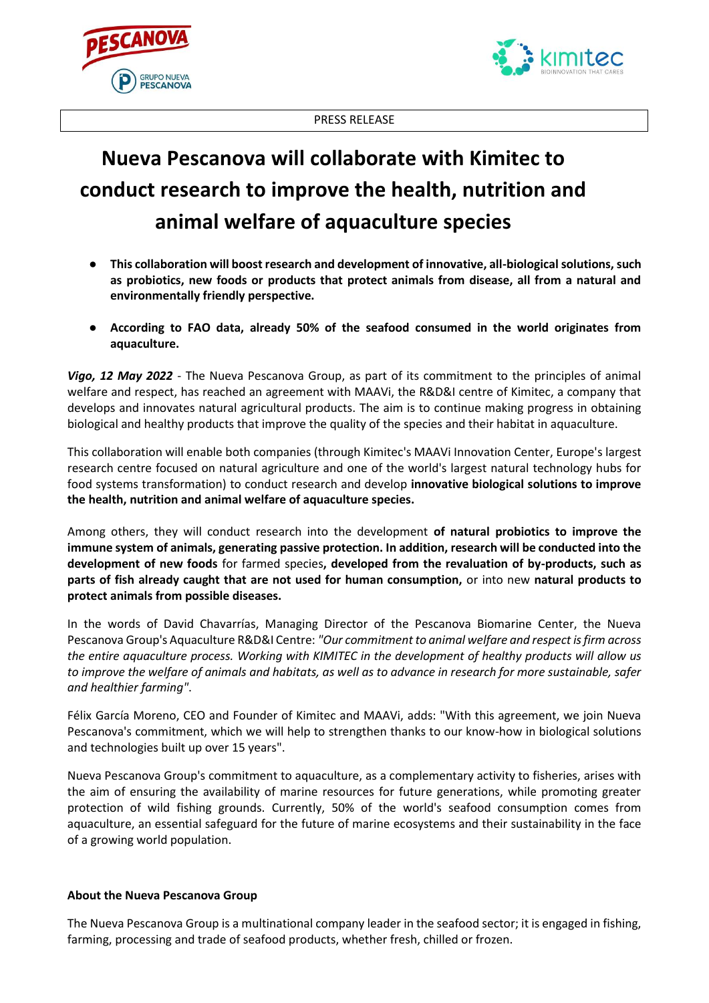



PRESS RELEASE

## **Nueva Pescanova will collaborate with Kimitec to conduct research to improve the health, nutrition and animal welfare of aquaculture species**

- **This collaboration will boost research and development of innovative, all-biological solutions, such as probiotics, new foods or products that protect animals from disease, all from a natural and environmentally friendly perspective.**
- **According to FAO data, already 50% of the seafood consumed in the world originates from aquaculture.**

*Vigo, 12 May 2022* - The Nueva Pescanova Group, as part of its commitment to the principles of animal welfare and respect, has reached an agreement with MAAVi, the R&D&I centre of Kimitec, a company that develops and innovates natural agricultural products. The aim is to continue making progress in obtaining biological and healthy products that improve the quality of the species and their habitat in aquaculture.

This collaboration will enable both companies (through Kimitec's MAAVi Innovation Center, Europe's largest research centre focused on natural agriculture and one of the world's largest natural technology hubs for food systems transformation) to conduct research and develop **innovative biological solutions to improve the health, nutrition and animal welfare of aquaculture species.**

Among others, they will conduct research into the development **of natural probiotics to improve the immune system of animals, generating passive protection. In addition, research will be conducted into the development of new foods** for farmed species**, developed from the revaluation of by-products, such as parts of fish already caught that are not used for human consumption,** or into new **natural products to protect animals from possible diseases.**

In the words of David Chavarrías, Managing Director of the Pescanova Biomarine Center, the Nueva Pescanova Group's Aquaculture R&D&I Centre: *"Our commitment to animal welfare and respect is firm across the entire aquaculture process. Working with KIMITEC in the development of healthy products will allow us to improve the welfare of animals and habitats, as well as to advance in research for more sustainable, safer and healthier farming"*.

Félix García Moreno, CEO and Founder of Kimitec and MAAVi, adds: "With this agreement, we join Nueva Pescanova's commitment, which we will help to strengthen thanks to our know-how in biological solutions and technologies built up over 15 years".

Nueva Pescanova Group's commitment to aquaculture, as a complementary activity to fisheries, arises with the aim of ensuring the availability of marine resources for future generations, while promoting greater protection of wild fishing grounds. Currently, 50% of the world's seafood consumption comes from aquaculture, an essential safeguard for the future of marine ecosystems and their sustainability in the face of a growing world population.

## **About the Nueva Pescanova Group**

The Nueva Pescanova Group is a multinational company leader in the seafood sector; it is engaged in fishing, farming, processing and trade of seafood products, whether fresh, chilled or frozen.